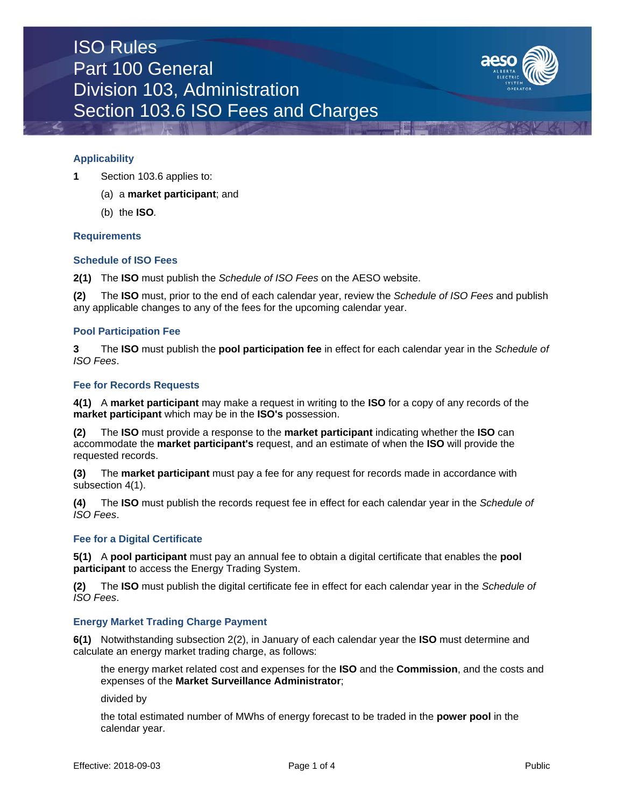

### **Applicability**

- **1** Section 103.6 applies to:
	- (a) a **market participant**; and
	- (b) the **ISO***.*

### **Requirements**

### **Schedule of ISO Fees**

**2(1)** The **ISO** must publish the *Schedule of ISO Fees* on the AESO website.

**(2)** The **ISO** must, prior to the end of each calendar year, review the *Schedule of ISO Fees* and publish any applicable changes to any of the fees for the upcoming calendar year.

### **Pool Participation Fee**

**3** The **ISO** must publish the **pool participation fee** in effect for each calendar year in the *Schedule of ISO Fees*.

### **Fee for Records Requests**

**4(1)** A **market participant** may make a request in writing to the **ISO** for a copy of any records of the **market participant** which may be in the **ISO's** possession.

**(2)** The **ISO** must provide a response to the **market participant** indicating whether the **ISO** can accommodate the **market participant's** request, and an estimate of when the **ISO** will provide the requested records.

**(3)** The **market participant** must pay a fee for any request for records made in accordance with subsection 4(1).

**(4)** The **ISO** must publish the records request fee in effect for each calendar year in the *Schedule of ISO Fees*.

### **Fee for a Digital Certificate**

**5(1)** A **pool participant** must pay an annual fee to obtain a digital certificate that enables the **pool participant** to access the Energy Trading System.

**(2)** The **ISO** must publish the digital certificate fee in effect for each calendar year in the *Schedule of ISO Fees*.

### **Energy Market Trading Charge Payment**

**6(1)** Notwithstanding subsection 2(2), in January of each calendar year the **ISO** must determine and calculate an energy market trading charge, as follows:

the energy market related cost and expenses for the **ISO** and the **Commission**, and the costs and expenses of the **Market Surveillance Administrator**;

divided by

the total estimated number of MWhs of energy forecast to be traded in the **power pool** in the calendar year.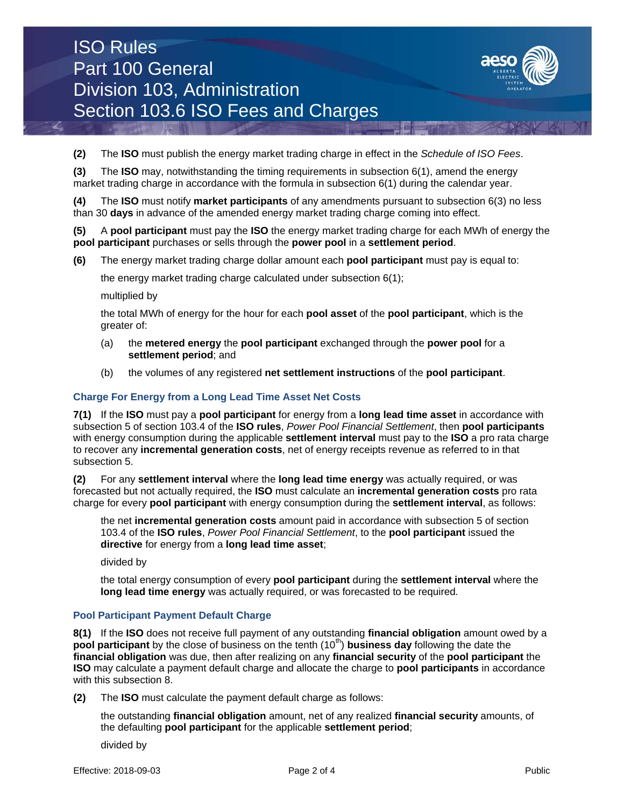# ISO Rules Part 100 General Division 103, Administration Section 103.6 ISO Fees and Charges



**(2)** The **ISO** must publish the energy market trading charge in effect in the *Schedule of ISO Fees*.

**(3)** The **ISO** may, notwithstanding the timing requirements in subsection 6(1), amend the energy market trading charge in accordance with the formula in subsection 6(1) during the calendar year.

**(4)** The **ISO** must notify **market participants** of any amendments pursuant to subsection 6(3) no less than 30 **days** in advance of the amended energy market trading charge coming into effect.

**(5)** A **pool participant** must pay the **ISO** the energy market trading charge for each MWh of energy the **pool participant** purchases or sells through the **power pool** in a **settlement period**.

**(6)** The energy market trading charge dollar amount each **pool participant** must pay is equal to:

the energy market trading charge calculated under subsection 6(1);

multiplied by

the total MWh of energy for the hour for each **pool asset** of the **pool participant**, which is the greater of:

- (a) the **metered energy** the **pool participant** exchanged through the **power pool** for a **settlement period**; and
- (b) the volumes of any registered **net settlement instructions** of the **pool participant**.

# **Charge For Energy from a Long Lead Time Asset Net Costs**

**7(1)** If the **ISO** must pay a **pool participant** for energy from a **long lead time asset** in accordance with subsection 5 of section 103.4 of the **ISO rules**, *Power Pool Financial Settlement*, then **pool participants** with energy consumption during the applicable **settlement interval** must pay to the **ISO** a pro rata charge to recover any **incremental generation costs**, net of energy receipts revenue as referred to in that subsection 5.

**(2)** For any **settlement interval** where the **long lead time energy** was actually required, or was forecasted but not actually required, the **ISO** must calculate an **incremental generation costs** pro rata charge for every **pool participant** with energy consumption during the **settlement interval**, as follows:

the net **incremental generation costs** amount paid in accordance with subsection 5 of section 103.4 of the **ISO rules**, *Power Pool Financial Settlement*, to the **pool participant** issued the **directive** for energy from a **long lead time asset**;

divided by

the total energy consumption of every **pool participant** during the **settlement interval** where the **long lead time energy** was actually required, or was forecasted to be required*.*

# **Pool Participant Payment Default Charge**

**8(1)** If the **ISO** does not receive full payment of any outstanding **financial obligation** amount owed by a **pool participant** by the close of business on the tenth (10<sup>th</sup>) **business day** following the date the **financial obligation** was due, then after realizing on any **financial security** of the **pool participant** the **ISO** may calculate a payment default charge and allocate the charge to **pool participants** in accordance with this subsection 8.

**(2)** The **ISO** must calculate the payment default charge as follows:

the outstanding **financial obligation** amount, net of any realized **financial security** amounts, of the defaulting **pool participant** for the applicable **settlement period**;

divided by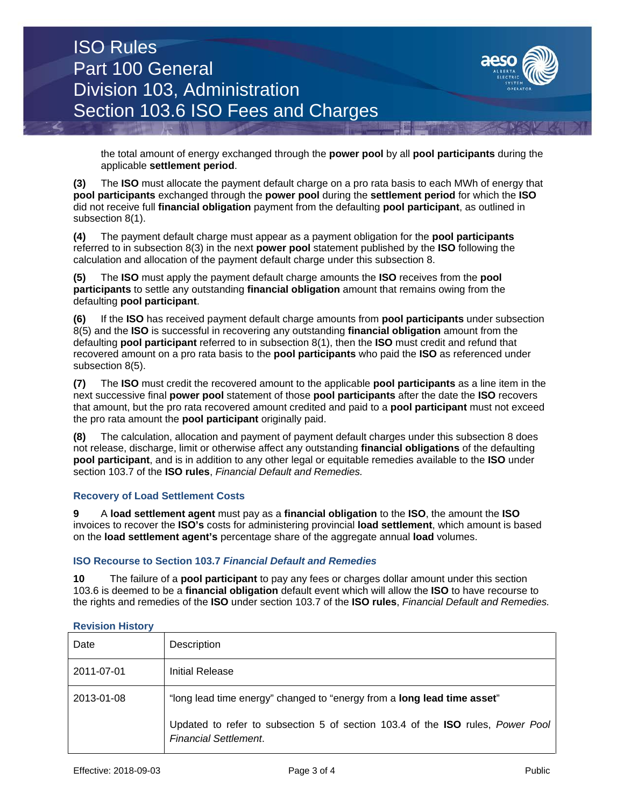# ISO Rules Part 100 General Division 103, Administration Section 103.6 ISO Fees and Charges



the total amount of energy exchanged through the **power pool** by all **pool participants** during the applicable **settlement period**.

**(3)** The **ISO** must allocate the payment default charge on a pro rata basis to each MWh of energy that **pool participants** exchanged through the **power pool** during the **settlement period** for which the **ISO** did not receive full **financial obligation** payment from the defaulting **pool participant**, as outlined in subsection 8(1).

**(4)** The payment default charge must appear as a payment obligation for the **pool participants** referred to in subsection 8(3) in the next **power pool** statement published by the **ISO** following the calculation and allocation of the payment default charge under this subsection 8.

**(5)** The **ISO** must apply the payment default charge amounts the **ISO** receives from the **pool participants** to settle any outstanding **financial obligation** amount that remains owing from the defaulting **pool participant**.

**(6)** If the **ISO** has received payment default charge amounts from **pool participants** under subsection 8(5) and the **ISO** is successful in recovering any outstanding **financial obligation** amount from the defaulting **pool participant** referred to in subsection 8(1), then the **ISO** must credit and refund that recovered amount on a pro rata basis to the **pool participants** who paid the **ISO** as referenced under subsection 8(5).

**(7)** The **ISO** must credit the recovered amount to the applicable **pool participants** as a line item in the next successive final **power pool** statement of those **pool participants** after the date the **ISO** recovers that amount, but the pro rata recovered amount credited and paid to a **pool participant** must not exceed the pro rata amount the **pool participant** originally paid.

**(8)** The calculation, allocation and payment of payment default charges under this subsection 8 does not release, discharge, limit or otherwise affect any outstanding **financial obligations** of the defaulting **pool participant**, and is in addition to any other legal or equitable remedies available to the **ISO** under section 103.7 of the **ISO rules**, *Financial Default and Remedies.*

# **Recovery of Load Settlement Costs**

**9** A **load settlement agent** must pay as a **financial obligation** to the **ISO**, the amount the **ISO**  invoices to recover the **ISO's** costs for administering provincial **load settlement**, which amount is based on the **load settlement agent's** percentage share of the aggregate annual **load** volumes.

# **ISO Recourse to Section 103.7** *Financial Default and Remedies*

**10** The failure of a **pool participant** to pay any fees or charges dollar amount under this section 103.6 is deemed to be a **financial obligation** default event which will allow the **ISO** to have recourse to the rights and remedies of the **ISO** under section 103.7 of the **ISO rules**, *Financial Default and Remedies.*

| Date       | Description                                                                                                    |
|------------|----------------------------------------------------------------------------------------------------------------|
| 2011-07-01 | Initial Release                                                                                                |
| 2013-01-08 | "long lead time energy" changed to "energy from a long lead time asset"                                        |
|            | Updated to refer to subsection 5 of section 103.4 of the ISO rules, Power Pool<br><b>Financial Settlement.</b> |

### **Revision History**